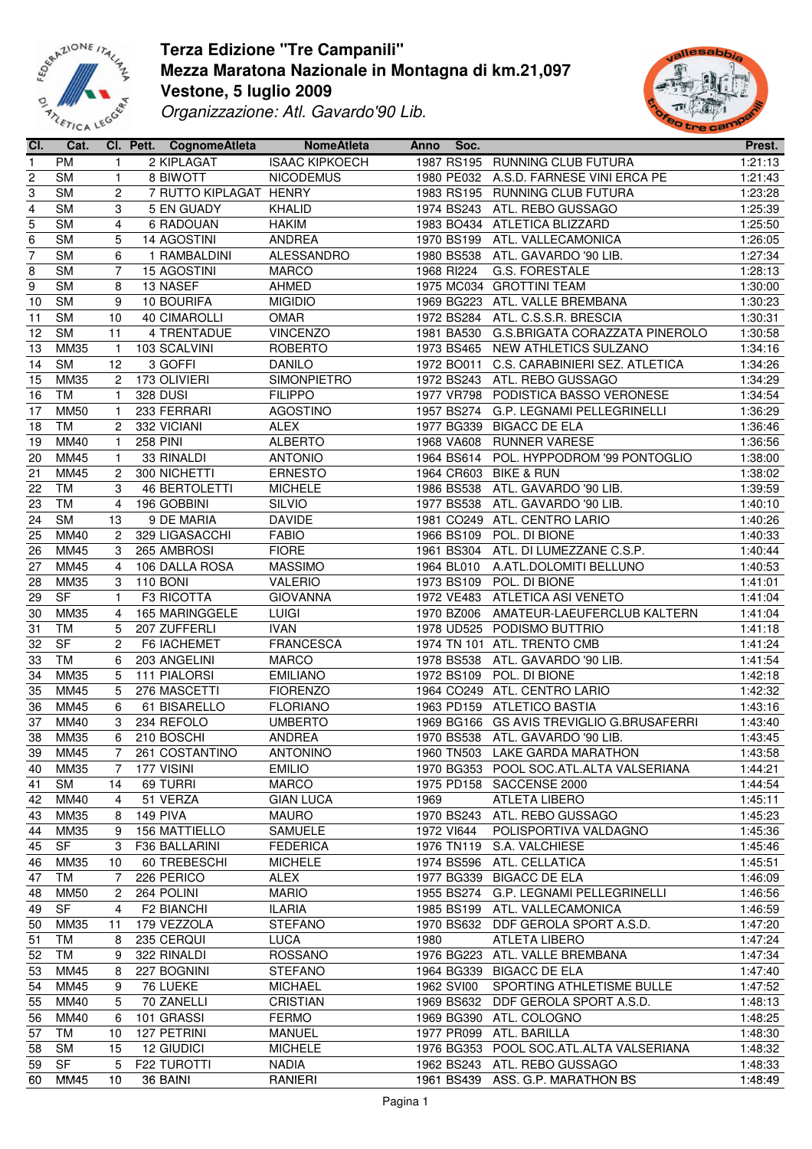



| CI.                     | Cat.        |                | CI. Pett. CognomeAtleta | <b>NomeAtleta</b>     | <b>Anno</b> | Soc.       |                                           | Prest.               |
|-------------------------|-------------|----------------|-------------------------|-----------------------|-------------|------------|-------------------------------------------|----------------------|
| $\mathbf{1}$            | <b>PM</b>   | $\mathbf{1}$   | 2 KIPLAGAT              | <b>ISAAC KIPKOECH</b> |             |            | 1987 RS195 RUNNING CLUB FUTURA            | 1:21:13              |
| $\overline{c}$          | <b>SM</b>   | $\mathbf{1}$   | 8 BIWOTT                | <b>NICODEMUS</b>      |             |            | 1980 PE032 A.S.D. FARNESE VINI ERCA PE    | 1:21:43              |
| 3                       | <b>SM</b>   | 2              | 7 RUTTO KIPLAGAT HENRY  |                       |             |            | 1983 RS195 RUNNING CLUB FUTURA            | 1:23:28              |
| $\overline{\mathbf{4}}$ | <b>SM</b>   | 3              | 5 EN GUADY              | <b>KHALID</b>         |             |            | 1974 BS243 ATL. REBO GUSSAGO              | 1:25:39              |
| 5                       | <b>SM</b>   | 4              | 6 RADOUAN               | <b>HAKIM</b>          |             |            | 1983 BO434 ATLETICA BLIZZARD              | 1:25:50              |
| $\,6$                   | <b>SM</b>   | 5              | 14 AGOSTINI             | ANDREA                |             | 1970 BS199 | ATL. VALLECAMONICA                        | 1:26:05              |
| $\overline{7}$          | <b>SM</b>   | 6              | 1 RAMBALDINI            | ALESSANDRO            |             | 1980 BS538 | ATL. GAVARDO '90 LIB.                     | $\overline{1}:27:34$ |
| 8                       | <b>SM</b>   | $\overline{7}$ | <b>15 AGOSTINI</b>      | <b>MARCO</b>          |             | 1968 RI224 | G.S. FORESTALE                            | 1:28:13              |
| $\boldsymbol{9}$        | <b>SM</b>   | 8              | 13 NASEF                | <b>AHMED</b>          |             |            | 1975 MC034 GROTTINI TEAM                  | 1:30:00              |
|                         |             |                |                         |                       |             |            |                                           |                      |
| 10                      | <b>SM</b>   | 9              | 10 BOURIFA              | <b>MIGIDIO</b>        |             |            | 1969 BG223 ATL. VALLE BREMBANA            | 1:30:23              |
| 11                      | <b>SM</b>   | 10             | <b>40 CIMAROLLI</b>     | <b>OMAR</b>           |             | 1972 BS284 | ATL. C.S.S.R. BRESCIA                     | 1:30:31              |
| 12                      | <b>SM</b>   | 11             | 4 TRENTADUE             | <b>VINCENZO</b>       |             | 1981 BA530 | G.S.BRIGATA CORAZZATA PINEROLO            | 1:30:58              |
| 13                      | <b>MM35</b> | $\mathbf{1}$   | 103 SCALVINI            | <b>ROBERTO</b>        |             |            | 1973 BS465 NEW ATHLETICS SULZANO          | 1:34:16              |
| 14                      | <b>SM</b>   | 12             | 3 GOFFI                 | <b>DANILO</b>         |             |            | 1972 BO011 C.S. CARABINIERI SEZ. ATLETICA | 1:34:26              |
| 15                      | MM35        | $\overline{c}$ | 173 OLIVIERI            | SIMONPIETRO           |             |            | 1972 BS243 ATL. REBO GUSSAGO              | 1:34:29              |
| 16                      | TM          | 1              | <b>328 DUSI</b>         | <b>FILIPPO</b>        |             |            | 1977 VR798 PODISTICA BASSO VERONESE       | 1:34:54              |
| 17                      | <b>MM50</b> | $\mathbf 1$    | 233 FERRARI             | <b>AGOSTINO</b>       |             |            | 1957 BS274 G.P. LEGNAMI PELLEGRINELLI     | 1:36:29              |
| 18                      | TM          | $\overline{c}$ | 332 VICIANI             | ALEX                  |             |            | 1977 BG339 BIGACC DE ELA                  | 1:36:46              |
| 19                      | MM40        | $\mathbf{1}$   | <b>258 PINI</b>         | <b>ALBERTO</b>        |             | 1968 VA608 | <b>RUNNER VARESE</b>                      | 1:36:56              |
| 20                      | MM45        | $\mathbf{1}$   | 33 RINALDI              | <b>ANTONIO</b>        |             | 1964 BS614 | POL. HYPPODROM '99 PONTOGLIO              | 1:38:00              |
| 21                      | MM45        | $\overline{c}$ | 300 NICHETTI            | <b>ERNESTO</b>        |             | 1964 CR603 | <b>BIKE &amp; RUN</b>                     | 1:38:02              |
| 22                      | TM          | 3              | <b>46 BERTOLETTI</b>    | <b>MICHELE</b>        |             | 1986 BS538 | ATL. GAVARDO '90 LIB.                     | 1:39:59              |
| 23                      | TM          | 4              | 196 GOBBINI             | SILVIO                |             | 1977 BS538 | ATL. GAVARDO '90 LIB.                     | 1:40:10              |
| 24                      | <b>SM</b>   | 13             | 9 DE MARIA              | <b>DAVIDE</b>         |             |            | 1981 CO249 ATL. CENTRO LARIO              | 1:40:26              |
| 25                      | MM40        | $\overline{c}$ | 329 LIGASACCHI          | <b>FABIO</b>          |             | 1966 BS109 | POL. DI BIONE                             | 1:40:33              |
| 26                      | MM45        | 3              | 265 AMBROSI             | <b>FIORE</b>          |             | 1961 BS304 | ATL. DI LUMEZZANE C.S.P.                  | 1:40:44              |
| 27                      | MM45        | 4              | 106 DALLA ROSA          | <b>MASSIMO</b>        |             | 1964 BL010 | A.ATL.DOLOMITI BELLUNO                    | 1:40:53              |
|                         |             |                |                         |                       |             |            |                                           |                      |
| 28                      | MM35        | 3              | <b>110 BONI</b>         | VALERIO               |             |            | 1973 BS109 POL. DI BIONE                  | 1:41:01              |
| 29                      | <b>SF</b>   | 1              | F3 RICOTTA              | <b>GIOVANNA</b>       |             | 1972 VE483 | ATLETICA ASI VENETO                       | 1:41:04              |
| 30                      | <b>MM35</b> | 4              | 165 MARINGGELE          | <b>LUIGI</b>          |             | 1970 BZ006 | AMATEUR-LAEUFERCLUB KALTERN               | 1:41:04              |
| 31                      | <b>TM</b>   | 5              | 207 ZUFFERLI            | <b>IVAN</b>           |             |            | 1978 UD525 PODISMO BUTTRIO                | 1:41:18              |
| 32                      | <b>SF</b>   | $\overline{2}$ | F6 IACHEMET             | <b>FRANCESCA</b>      |             |            | 1974 TN 101 ATL. TRENTO CMB               | 1:41:24              |
| 33                      | TM          | 6              | 203 ANGELINI            | <b>MARCO</b>          |             |            | 1978 BS538 ATL. GAVARDO '90 LIB.          | 1:41:54              |
| 34                      | MM35        | 5              | 111 PIALORSI            | <b>EMILIANO</b>       |             | 1972 BS109 | POL. DI BIONE                             | 1:42:18              |
| 35                      | MM45        | 5              | 276 MASCETTI            | <b>FIORENZO</b>       |             |            | 1964 CO249 ATL. CENTRO LARIO              | 1:42:32              |
| 36                      | MM45        | 6              | 61 BISARELLO            | <b>FLORIANO</b>       |             |            | 1963 PD159 ATLETICO BASTIA                | 1:43:16              |
| 37                      | MM40        | 3              | 234 REFOLO              | <b>UMBERTO</b>        |             |            | 1969 BG166 GS AVIS TREVIGLIO G.BRUSAFERRI | 1:43:40              |
| 38                      | MM35        | 6              | 210 BOSCHI              | <b>ANDREA</b>         |             |            | 1970 BS538 ATL. GAVARDO '90 LIB.          | 1:43:45              |
|                         | 39 MM45     | 7 <sup>7</sup> | 261 COSTANTINO          | <b>ANTONINO</b>       |             |            | 1960 TN503 LAKE GARDA MARATHON            | 1:43:58              |
| 40                      | <b>MM35</b> | 7              | 177 VISINI              | <b>EMILIO</b>         |             |            | 1970 BG353 POOL SOC.ATL.ALTA VALSERIANA   | 1:44:21              |
| 41                      | <b>SM</b>   | 14             | 69 TURRI                | <b>MARCO</b>          |             |            | 1975 PD158 SACCENSE 2000                  | 1:44:54              |
| 42                      | MM40        | 4              | 51 VERZA                | <b>GIAN LUCA</b>      | 1969        |            | ATLETA LIBERO                             | 1:45:11              |
| 43                      | MM35        | 8              | 149 PIVA                | <b>MAURO</b>          |             | 1970 BS243 | ATL. REBO GUSSAGO                         | 1:45:23              |
| 44                      | MM35        | 9              | 156 MATTIELLO           | SAMUELE               |             | 1972 VI644 | POLISPORTIVA VALDAGNO                     | 1:45:36              |
| 45                      | SF          | 3              | F36 BALLARINI           | <b>FEDERICA</b>       |             | 1976 TN119 | S.A. VALCHIESE                            | 1:45:46              |
| 46                      | MM35        | 10             | 60 TREBESCHI            | <b>MICHELE</b>        |             |            | 1974 BS596 ATL. CELLATICA                 | 1:45:51              |
|                         | TM          |                |                         | <b>ALEX</b>           |             | 1977 BG339 | <b>BIGACC DE ELA</b>                      | 1:46:09              |
| 47                      |             | 7              | 226 PERICO              |                       |             |            |                                           |                      |
| 48                      | <b>MM50</b> | 2              | 264 POLINI              | <b>MARIO</b>          |             |            | 1955 BS274 G.P. LEGNAMI PELLEGRINELLI     | 1:46:56              |
| 49                      | <b>SF</b>   | 4              | <b>F2 BIANCHI</b>       | <b>ILARIA</b>         |             |            | 1985 BS199 ATL. VALLECAMONICA             | 1:46:59              |
| 50                      | MM35        | 11             | 179 VEZZOLA             | <b>STEFANO</b>        |             | 1970 BS632 | DDF GEROLA SPORT A.S.D.                   | 1:47:20              |
| 51                      | <b>TM</b>   | 8              | 235 CERQUI              | <b>LUCA</b>           | 1980        |            | ATLETA LIBERO                             | 1:47:24              |
| 52                      | TM          | 9              | 322 RINALDI             | <b>ROSSANO</b>        |             | 1976 BG223 | ATL. VALLE BREMBANA                       | 1:47:34              |
| 53                      | MM45        | 8              | 227 BOGNINI             | <b>STEFANO</b>        |             | 1964 BG339 | <b>BIGACC DE ELA</b>                      | 1:47:40              |
| 54                      | MM45        | 9              | 76 LUEKE                | <b>MICHAEL</b>        |             | 1962 SVI00 | SPORTING ATHLETISME BULLE                 | 1:47:52              |
| 55                      | MM40        | 5              | 70 ZANELLI              | <b>CRISTIAN</b>       |             | 1969 BS632 | DDF GEROLA SPORT A.S.D.                   | 1:48:13              |
| 56                      | MM40        | 6              | 101 GRASSI              | <b>FERMO</b>          |             |            | 1969 BG390 ATL. COLOGNO                   | 1:48:25              |
| 57                      | TM          | 10             | 127 PETRINI             | <b>MANUEL</b>         |             |            | 1977 PR099 ATL. BARILLA                   | 1:48:30              |
| 58                      | <b>SM</b>   | 15             | 12 GIUDICI              | <b>MICHELE</b>        |             |            | 1976 BG353 POOL SOC.ATL.ALTA VALSERIANA   | 1:48:32              |
| 59                      | <b>SF</b>   | 5              | F22 TUROTTI             | <b>NADIA</b>          |             |            | 1962 BS243 ATL. REBO GUSSAGO              | 1:48:33              |
| 60                      | MM45        | 10             | 36 BAINI                | RANIERI               |             |            | 1961 BS439 ASS. G.P. MARATHON BS          | 1:48:49              |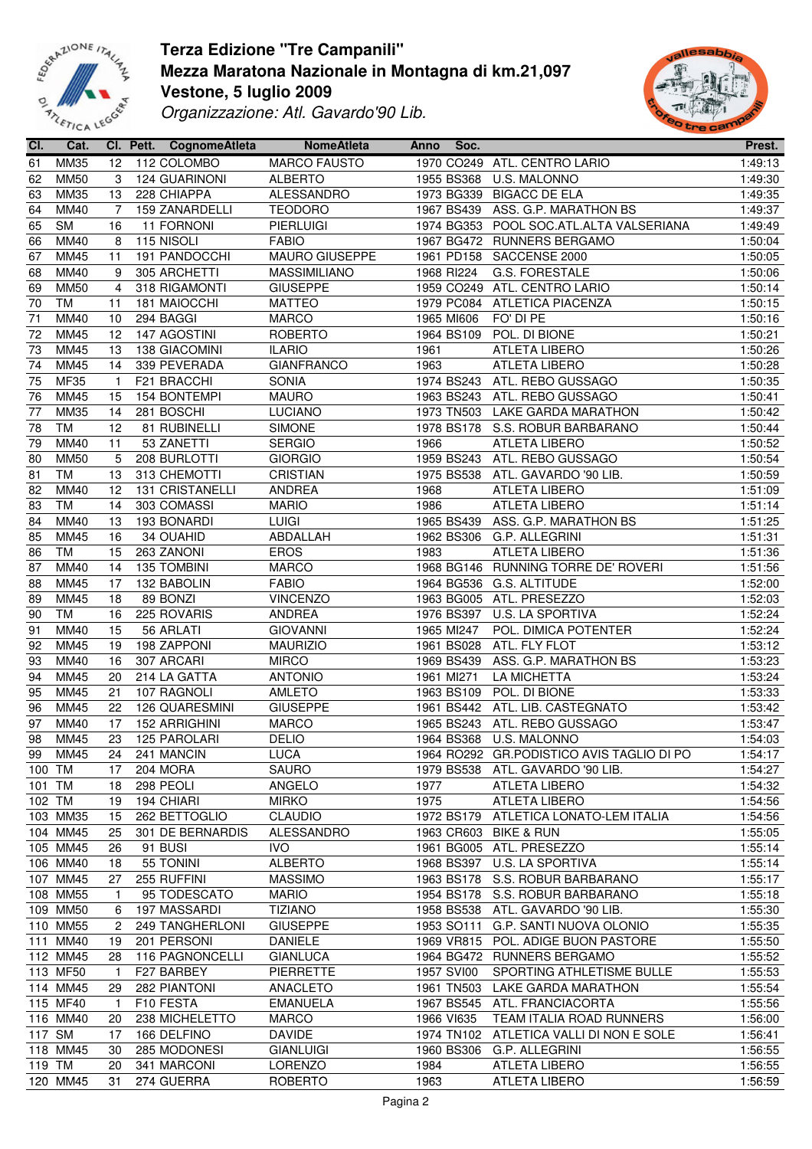



| CI.    | Cat.        |                | Cl. Pett. CognomeAtleta | <b>NomeAtleta</b>   |      | Anno Soc.  |                                           | Prest.  |
|--------|-------------|----------------|-------------------------|---------------------|------|------------|-------------------------------------------|---------|
| 61     | MM35        | 12             | 112 COLOMBO             | <b>MARCO FAUSTO</b> |      |            | 1970 CO249 ATL. CENTRO LARIO              | 1:49:13 |
| 62     | <b>MM50</b> | 3              | 124 GUARINONI           | <b>ALBERTO</b>      |      | 1955 BS368 | U.S. MALONNO                              | 1:49:30 |
| 63     | <b>MM35</b> | 13             | 228 CHIAPPA             | ALESSANDRO          |      | 1973 BG339 | <b>BIGACC DE ELA</b>                      | 1:49:35 |
| 64     | MM40        | 7              | 159 ZANARDELLI          | <b>TEODORO</b>      |      | 1967 BS439 | ASS. G.P. MARATHON BS                     | 1:49:37 |
| 65     | <b>SM</b>   | 16             | 11 FORNONI              | <b>PIERLUIGI</b>    |      |            | 1974 BG353 POOL SOC.ATL.ALTA VALSERIANA   | 1:49:49 |
|        |             |                |                         |                     |      |            |                                           |         |
| 66     | MM40        | 8              | 115 NISOLI              | <b>FABIO</b>        |      |            | 1967 BG472 RUNNERS BERGAMO                | 1:50:04 |
| 67     | MM45        | 11             | 191 PANDOCCHI           | MAURO GIUSEPPE      |      |            | 1961 PD158 SACCENSE 2000                  | 1:50:05 |
| 68     | MM40        | 9              | 305 ARCHETTI            | MASSIMILIANO        |      | 1968 RI224 | G.S. FORESTALE                            | 1:50:06 |
| 69     | <b>MM50</b> | $\overline{4}$ | 318 RIGAMONTI           | <b>GIUSEPPE</b>     |      |            | 1959 CO249 ATL. CENTRO LARIO              | 1:50:14 |
| $70\,$ | <b>TM</b>   | 11             | 181 MAIOCCHI            | MATTEO              |      |            | 1979 PC084 ATLETICA PIACENZA              | 1:50:15 |
| 71     | MM40        | 10             | 294 BAGGI               | <b>MARCO</b>        |      | 1965 MI606 | FO' DI PE                                 | 1:50:16 |
| 72     | <b>MM45</b> | 12             | 147 AGOSTINI            | ROBERTO             |      | 1964 BS109 | POL. DI BIONE                             | 1:50:21 |
| 73     | <b>MM45</b> | 13             | 138 GIACOMINI           | <b>ILARIO</b>       | 1961 |            | ATLETA LIBERO                             | 1:50:26 |
| 74     | MM45        | 14             | 339 PEVERADA            | <b>GIANFRANCO</b>   | 1963 |            | <b>ATLETA LIBERO</b>                      | 1:50:28 |
| 75     | <b>MF35</b> | $\overline{1}$ | F21 BRACCHI             | SONIA               |      |            | 1974 BS243 ATL. REBO GUSSAGO              | 1:50:35 |
| 76     | <b>MM45</b> | 15             | 154 BONTEMPI            | <b>MAURO</b>        |      |            | 1963 BS243 ATL. REBO GUSSAGO              | 1:50:41 |
| 77     | MM35        | 14             | 281 BOSCHI              | <b>LUCIANO</b>      |      |            | 1973 TN503 LAKE GARDA MARATHON            | 1:50:42 |
| 78     | TM          | 12             | 81 RUBINELLI            | SIMONE              |      |            |                                           | 1:50:44 |
|        |             |                |                         |                     |      |            | 1978 BS178 S.S. ROBUR BARBARANO           |         |
| 79     | MM40        | 11             | 53 ZANETTI              | <b>SERGIO</b>       | 1966 |            | <b>ATLETA LIBERO</b>                      | 1:50:52 |
| 80     | <b>MM50</b> | 5              | 208 BURLOTTI            | <b>GIORGIO</b>      |      |            | 1959 BS243 ATL. REBO GUSSAGO              | 1:50:54 |
| 81     | <b>TM</b>   | 13             | 313 CHEMOTTI            | <b>CRISTIAN</b>     |      |            | 1975 BS538 ATL. GAVARDO '90 LIB.          | 1:50:59 |
| 82     | MM40        | 12             | 131 CRISTANELLI         | ANDREA              | 1968 |            | <b>ATLETA LIBERO</b>                      | 1:51:09 |
| 83     | <b>TM</b>   | 14             | 303 COMASSI             | <b>MARIO</b>        | 1986 |            | ATLETA LIBERO                             | 1:51:14 |
| 84     | MM40        | 13             | 193 BONARDI             | <b>LUIGI</b>        |      |            | 1965 BS439 ASS. G.P. MARATHON BS          | 1:51:25 |
| 85     | <b>MM45</b> | 16             | 34 OUAHID               | ABDALLAH            |      | 1962 BS306 | G.P. ALLEGRINI                            | 1:51:31 |
| 86     | <b>TM</b>   | 15             | 263 ZANONI              | <b>EROS</b>         | 1983 |            | ATLETA LIBERO                             | 1:51:36 |
| 87     | MM40        | 14             | 135 TOMBINI             | <b>MARCO</b>        |      |            | 1968 BG146 RUNNING TORRE DE' ROVERI       | 1:51:56 |
| 88     | MM45        | 17             | 132 BABOLIN             | <b>FABIO</b>        |      |            | 1964 BG536 G.S. ALTITUDE                  | 1:52:00 |
| 89     | MM45        | 18             | 89 BONZI                | <b>VINCENZO</b>     |      |            | 1963 BG005 ATL. PRESEZZO                  | 1:52:03 |
|        | TM          | 16             | 225 ROVARIS             | ANDREA              |      |            | 1976 BS397 U.S. LA SPORTIVA               | 1:52:24 |
| 90     |             |                |                         |                     |      |            |                                           |         |
| 91     | MM40        | 15             | 56 ARLATI               | <b>GIOVANNI</b>     |      | 1965 MI247 | POL. DIMICA POTENTER                      | 1:52:24 |
| 92     | <b>MM45</b> | 19             | 198 ZAPPONI             | <b>MAURIZIO</b>     |      | 1961 BS028 | ATL. FLY FLOT                             | 1:53:12 |
| 93     | MM40        | 16             | 307 ARCARI              | <b>MIRCO</b>        |      | 1969 BS439 | ASS. G.P. MARATHON BS                     | 1:53:23 |
| 94     | MM45        | 20             | 214 LA GATTA            | <b>ANTONIO</b>      |      | 1961 MI271 | LA MICHETTA                               | 1:53:24 |
| 95     | <b>MM45</b> | 21             | 107 RAGNOLI             | <b>AMLETO</b>       |      | 1963 BS109 | POL. DI BIONE                             | 1:53:33 |
| 96     | <b>MM45</b> | 22             | <b>126 QUARESMINI</b>   | <b>GIUSEPPE</b>     |      |            | 1961 BS442 ATL. LIB. CASTEGNATO           | 1:53:42 |
| 97     | MM40        | 17             | 152 ARRIGHINI           | <b>MARCO</b>        |      |            | 1965 BS243 ATL. REBO GUSSAGO              | 1:53:47 |
| 98     | <b>MM45</b> | 23             | 125 PAROLARI            | <b>DELIO</b>        |      |            | 1964 BS368 U.S. MALONNO                   | 1:54:03 |
|        |             |                | 99 MM45 24 241 MANCIN   | LUCA                |      |            | 1964 RO292 GR.PODISTICO AVIS TAGLIO DI PO | 1:54:17 |
| 100 TM |             | 17             | 204 MORA                | <b>SAURO</b>        |      |            | 1979 BS538 ATL. GAVARDO '90 LIB.          | 1:54:27 |
| 101 TM |             | 18             | 298 PEOLI               | ANGELO              | 1977 |            | <b>ATLETA LIBERO</b>                      | 1:54:32 |
| 102 TM |             | 19             | 194 CHIARI              | <b>MIRKO</b>        | 1975 |            | <b>ATLETA LIBERO</b>                      | 1:54:56 |
|        | 103 MM35    |                |                         | <b>CLAUDIO</b>      |      |            | ATLETICA LONATO-LEM ITALIA                |         |
|        |             | 15             | 262 BETTOGLIO           |                     |      | 1972 BS179 |                                           | 1:54:56 |
|        | 104 MM45    | 25             | 301 DE BERNARDIS        | ALESSANDRO          |      | 1963 CR603 | <b>BIKE &amp; RUN</b>                     | 1:55:05 |
|        | 105 MM45    | 26             | 91 BUSI                 | <b>IVO</b>          |      | 1961 BG005 | ATL. PRESEZZO                             | 1:55:14 |
|        | 106 MM40    | 18             | 55 TONINI               | <b>ALBERTO</b>      |      | 1968 BS397 | U.S. LA SPORTIVA                          | 1:55:14 |
|        | 107 MM45    | 27             | 255 RUFFINI             | <b>MASSIMO</b>      |      | 1963 BS178 | S.S. ROBUR BARBARANO                      | 1:55:17 |
|        | 108 MM55    | 1              | 95 TODESCATO            | <b>MARIO</b>        |      | 1954 BS178 | S.S. ROBUR BARBARANO                      | 1:55:18 |
|        | 109 MM50    | 6              | 197 MASSARDI            | <b>TIZIANO</b>      |      | 1958 BS538 | ATL. GAVARDO '90 LIB.                     | 1:55:30 |
|        | 110 MM55    | 2              | 249 TANGHERLONI         | <b>GIUSEPPE</b>     |      | 1953 SO111 | G.P. SANTI NUOVA OLONIO                   | 1:55:35 |
|        | 111 MM40    | 19             | 201 PERSONI             | DANIELE             |      | 1969 VR815 | POL. ADIGE BUON PASTORE                   | 1:55:50 |
|        | 112 MM45    | 28             | 116 PAGNONCELLI         | <b>GIANLUCA</b>     |      |            | 1964 BG472 RUNNERS BERGAMO                | 1:55:52 |
|        | 113 MF50    | $\mathbf{1}$   | F27 BARBEY              | PIERRETTE           |      | 1957 SVI00 | SPORTING ATHLETISME BULLE                 | 1:55:53 |
|        | 114 MM45    | 29             | 282 PIANTONI            | ANACLETO            |      | 1961 TN503 | LAKE GARDA MARATHON                       | 1:55:54 |
|        | 115 MF40    | 1              | F10 FESTA               | <b>EMANUELA</b>     |      | 1967 BS545 | ATL. FRANCIACORTA                         | 1:55:56 |
|        | 116 MM40    |                |                         |                     |      |            |                                           |         |
|        |             | 20             | 238 MICHELETTO          | <b>MARCO</b>        |      | 1966 VI635 | TEAM ITALIA ROAD RUNNERS                  | 1:56:00 |
| 117 SM |             | 17             | 166 DELFINO             | <b>DAVIDE</b>       |      | 1974 TN102 | ATLETICA VALLI DI NON E SOLE              | 1:56:41 |
|        | 118 MM45    | 30             | 285 MODONESI            | <b>GIANLUIGI</b>    |      | 1960 BS306 | G.P. ALLEGRINI                            | 1:56:55 |
| 119 TM |             | 20             | 341 MARCONI             | LORENZO             | 1984 |            | <b>ATLETA LIBERO</b>                      | 1:56:55 |
|        | 120 MM45    | 31             | 274 GUERRA              | <b>ROBERTO</b>      | 1963 |            | <b>ATLETA LIBERO</b>                      | 1:56:59 |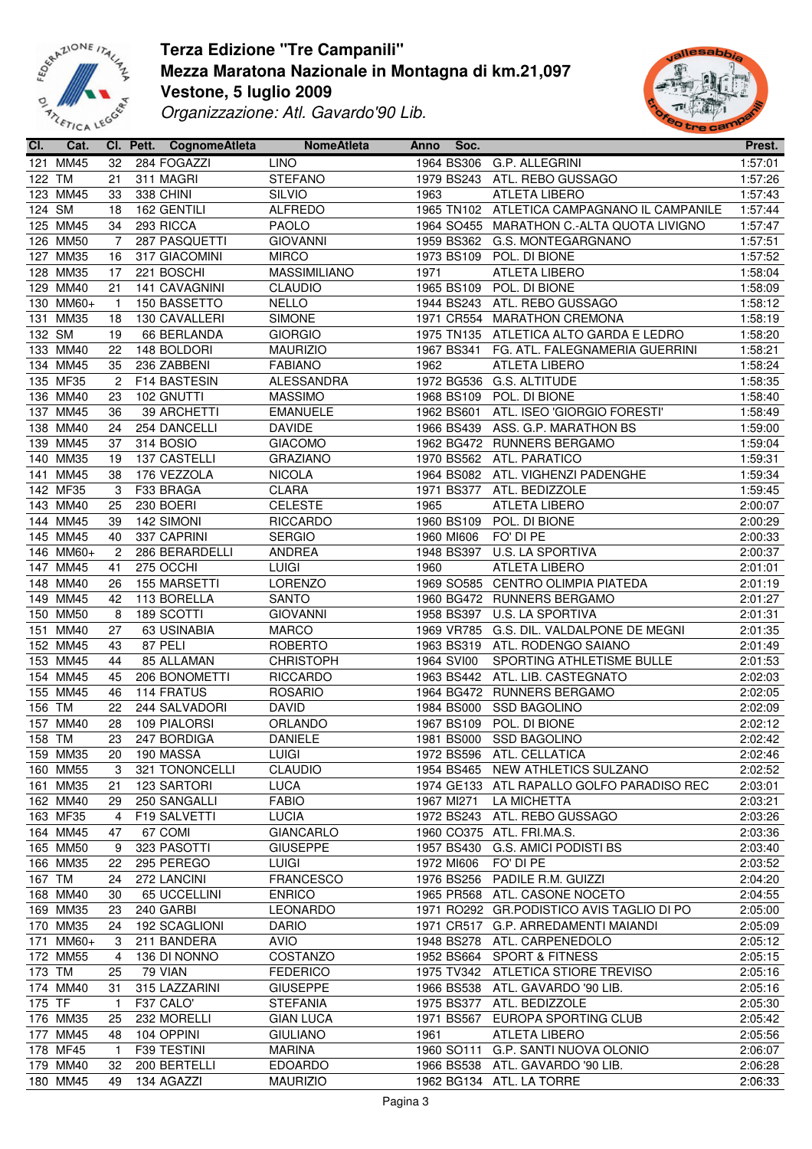



| CI.    | Cat.      |                | CI. Pett. CognomeAtleta | <b>NomeAtleta</b>   | Anno | Soc.       |                                           | Prest.  |
|--------|-----------|----------------|-------------------------|---------------------|------|------------|-------------------------------------------|---------|
|        | 121 MM45  | 32             | 284 FOGAZZI             | <b>LINO</b>         |      | 1964 BS306 | G.P. ALLEGRINI                            | 1:57:01 |
| 122 TM |           | 21             | 311 MAGRI               | <b>STEFANO</b>      |      | 1979 BS243 | ATL. REBO GUSSAGO                         | 1:57:26 |
|        | 123 MM45  | 33             | 338 CHINI               | SILVIO              | 1963 |            | <b>ATLETA LIBERO</b>                      | 1:57:43 |
| 124 SM |           | 18             | 162 GENTILI             | <b>ALFREDO</b>      |      | 1965 TN102 | ATLETICA CAMPAGNANO IL CAMPANILE          | 1:57:44 |
|        | 125 MM45  | 34             | 293 RICCA               | <b>PAOLO</b>        |      | 1964 SO455 | MARATHON C.-ALTA QUOTA LIVIGNO            | 1:57:47 |
|        | 126 MM50  | 7              | 287 PASQUETTI           | <b>GIOVANNI</b>     |      | 1959 BS362 | G.S. MONTEGARGNANO                        | 1:57:51 |
|        | 127 MM35  | 16             | 317 GIACOMINI           | <b>MIRCO</b>        |      | 1973 BS109 | POL. DI BIONE                             | 1:57:52 |
|        | 128 MM35  | 17             | 221 BOSCHI              | <b>MASSIMILIANO</b> | 1971 |            | <b>ATLETA LIBERO</b>                      | 1:58:04 |
|        | 129 MM40  | 21             | 141 CAVAGNINI           | <b>CLAUDIO</b>      |      | 1965 BS109 | POL. DI BIONE                             | 1:58:09 |
|        | 130 MM60+ | -1             | 150 BASSETTO            | <b>NELLO</b>        |      | 1944 BS243 | ATL. REBO GUSSAGO                         | 1:58:12 |
|        | 131 MM35  |                |                         | <b>SIMONE</b>       |      |            |                                           | 1:58:19 |
|        |           | 18             | 130 CAVALLERI           |                     |      | 1971 CR554 | <b>MARATHON CREMONA</b>                   |         |
| 132 SM |           | 19             | 66 BERLANDA             | <b>GIORGIO</b>      |      | 1975 TN135 | ATLETICA ALTO GARDA E LEDRO               | 1:58:20 |
|        | 133 MM40  | 22             | 148 BOLDORI             | <b>MAURIZIO</b>     |      | 1967 BS341 | FG. ATL. FALEGNAMERIA GUERRINI            | 1:58:21 |
|        | 134 MM45  | 35             | 236 ZABBENI             | <b>FABIANO</b>      | 1962 |            | <b>ATLETA LIBERO</b>                      | 1:58:24 |
|        | 135 MF35  | $\overline{c}$ | F14 BASTESIN            | ALESSANDRA          |      | 1972 BG536 | G.S. ALTITUDE                             | 1:58:35 |
|        | 136 MM40  | 23             | 102 GNUTTI              | <b>MASSIMO</b>      |      | 1968 BS109 | POL. DI BIONE                             | 1:58:40 |
|        | 137 MM45  | 36             | 39 ARCHETTI             | <b>EMANUELE</b>     |      | 1962 BS601 | ATL. ISEO 'GIORGIO FORESTI'               | 1:58:49 |
|        | 138 MM40  | 24             | 254 DANCELLI            | <b>DAVIDE</b>       |      | 1966 BS439 | ASS. G.P. MARATHON BS                     | 1:59:00 |
|        | 139 MM45  | 37             | 314 BOSIO               | <b>GIACOMO</b>      |      |            | 1962 BG472 RUNNERS BERGAMO                | 1:59:04 |
|        | 140 MM35  | 19             | 137 CASTELLI            | <b>GRAZIANO</b>     |      |            | 1970 BS562 ATL. PARATICO                  | 1:59:31 |
|        | 141 MM45  | 38             | 176 VEZZOLA             | <b>NICOLA</b>       |      |            | 1964 BS082 ATL. VIGHENZI PADENGHE         | 1:59:34 |
|        | 142 MF35  | 3              | F33 BRAGA               | <b>CLARA</b>        |      | 1971 BS377 | ATL. BEDIZZOLE                            | 1:59:45 |
|        | 143 MM40  | 25             | 230 BOERI               | <b>CELESTE</b>      | 1965 |            | ATLETA LIBERO                             | 2:00:07 |
|        | 144 MM45  | 39             | 142 SIMONI              | <b>RICCARDO</b>     |      | 1960 BS109 | POL. DI BIONE                             | 2:00:29 |
|        | 145 MM45  | 40             | 337 CAPRINI             | <b>SERGIO</b>       |      | 1960 MI606 | FO' DI PE                                 | 2:00:33 |
|        | 146 MM60+ | 2              | 286 BERARDELLI          | ANDREA              |      | 1948 BS397 | U.S. LA SPORTIVA                          | 2:00:37 |
|        | 147 MM45  | 41             | 275 OCCHI               | LUIGI               | 1960 |            | <b>ATLETA LIBERO</b>                      | 2:01:01 |
|        | 148 MM40  | 26             | 155 MARSETTI            | <b>LORENZO</b>      |      |            | 1969 SO585 CENTRO OLIMPIA PIATEDA         | 2:01:19 |
|        | 149 MM45  | 42             | 113 BORELLA             | <b>SANTO</b>        |      |            | 1960 BG472 RUNNERS BERGAMO                | 2:01:27 |
|        | 150 MM50  | 8              | 189 SCOTTI              | <b>GIOVANNI</b>     |      | 1958 BS397 | U.S. LA SPORTIVA                          | 2:01:31 |
|        | 151 MM40  | 27             | 63 USINABIA             | <b>MARCO</b>        |      |            | 1969 VR785 G.S. DIL. VALDALPONE DE MEGNI  | 2:01:35 |
|        | 152 MM45  | 43             | 87 PELI                 | <b>ROBERTO</b>      |      | 1963 BS319 | ATL. RODENGO SAIANO                       | 2:01:49 |
|        | 153 MM45  | 44             | 85 ALLAMAN              | <b>CHRISTOPH</b>    |      | 1964 SVI00 | SPORTING ATHLETISME BULLE                 | 2:01:53 |
|        | 154 MM45  | 45             | 206 BONOMETTI           | <b>RICCARDO</b>     |      |            | 1963 BS442 ATL. LIB. CASTEGNATO           | 2:02:03 |
|        | 155 MM45  | 46             | 114 FRATUS              | <b>ROSARIO</b>      |      |            | 1964 BG472 RUNNERS BERGAMO                | 2:02:05 |
| 156 TM |           | 22             | 244 SALVADORI           | <b>DAVID</b>        |      | 1984 BS000 | <b>SSD BAGOLINO</b>                       | 2:02:09 |
|        | 157 MM40  | 28             | 109 PIALORSI            | ORLANDO             |      | 1967 BS109 | POL. DI BIONE                             | 2:02:12 |
| 158 TM |           | 23             | 247 BORDIGA             | <b>DANIELE</b>      |      |            | 1981 BS000 SSD BAGOLINO                   | 2:02:42 |
|        | 159 MM35  |                | 20 190 MASSA            | <b>LUIGI</b>        |      |            | 1972 BS596 ATL. CELLATICA                 | 2:02:46 |
|        | 160 MM55  | 3              | 321 TONONCELLI          | <b>CLAUDIO</b>      |      |            | 1954 BS465 NEW ATHLETICS SULZANO          | 2:02:52 |
|        | 161 MM35  |                |                         |                     |      |            | 1974 GE133 ATL RAPALLO GOLFO PARADISO REC | 2:03:01 |
|        |           | 21             | 123 SARTORI             | <b>LUCA</b>         |      |            |                                           |         |
|        | 162 MM40  | 29             | 250 SANGALLI            | <b>FABIO</b>        |      | 1967 MI271 | LA MICHETTA<br>ATL. REBO GUSSAGO          | 2:03:21 |
|        | 163 MF35  | $\overline{4}$ | F19 SALVETTI            | <b>LUCIA</b>        |      | 1972 BS243 |                                           | 2:03:26 |
|        | 164 MM45  | 47             | 67 COMI                 | <b>GIANCARLO</b>    |      |            | 1960 CO375 ATL. FRI.MA.S.                 | 2:03:36 |
|        | 165 MM50  | 9              | 323 PASOTTI             | <b>GIUSEPPE</b>     |      | 1957 BS430 | G.S. AMICI PODISTI BS                     | 2:03:40 |
|        | 166 MM35  | 22             | 295 PEREGO              | <b>LUIGI</b>        |      | 1972 MI606 | FO' DI PE                                 | 2:03:52 |
| 167 TM |           | 24             | 272 LANCINI             | <b>FRANCESCO</b>    |      | 1976 BS256 | PADILE R.M. GUIZZI                        | 2:04:20 |
|        | 168 MM40  | 30             | 65 UCCELLINI            | <b>ENRICO</b>       |      |            | 1965 PR568 ATL. CASONE NOCETO             | 2:04:55 |
|        | 169 MM35  | 23             | 240 GARBI               | LEONARDO            |      |            | 1971 RO292 GR.PODISTICO AVIS TAGLIO DI PO | 2:05:00 |
|        | 170 MM35  | 24             | 192 SCAGLIONI           | <b>DARIO</b>        |      |            | 1971 CR517 G.P. ARREDAMENTI MAIANDI       | 2:05:09 |
|        | 171 MM60+ | 3              | 211 BANDERA             | <b>AVIO</b>         |      |            | 1948 BS278 ATL. CARPENEDOLO               | 2:05:12 |
|        | 172 MM55  | 4              | 136 DI NONNO            | COSTANZO            |      | 1952 BS664 | <b>SPORT &amp; FITNESS</b>                | 2:05:15 |
| 173 TM |           | 25             | 79 VIAN                 | <b>FEDERICO</b>     |      | 1975 TV342 | ATLETICA STIORE TREVISO                   | 2:05:16 |
|        | 174 MM40  | 31             | 315 LAZZARINI           | <b>GIUSEPPE</b>     |      | 1966 BS538 | ATL. GAVARDO '90 LIB.                     | 2:05:16 |
| 175 TF |           | $\mathbf{1}$   | F37 CALO'               | <b>STEFANIA</b>     |      | 1975 BS377 | ATL. BEDIZZOLE                            | 2:05:30 |
|        | 176 MM35  | 25             | 232 MORELLI             | <b>GIAN LUCA</b>    |      | 1971 BS567 | EUROPA SPORTING CLUB                      | 2:05:42 |
|        | 177 MM45  | 48             | 104 OPPINI              | <b>GIULIANO</b>     | 1961 |            | ATLETA LIBERO                             | 2:05:56 |
|        | 178 MF45  | $\mathbf{1}$   | F39 TESTINI             | MARINA              |      |            | 1960 SO111 G.P. SANTI NUOVA OLONIO        | 2:06:07 |
|        | 179 MM40  | 32             | 200 BERTELLI            | <b>EDOARDO</b>      |      |            | 1966 BS538 ATL. GAVARDO '90 LIB.          | 2:06:28 |
|        | 180 MM45  | 49             | 134 AGAZZI              | <b>MAURIZIO</b>     |      |            | 1962 BG134 ATL. LA TORRE                  | 2:06:33 |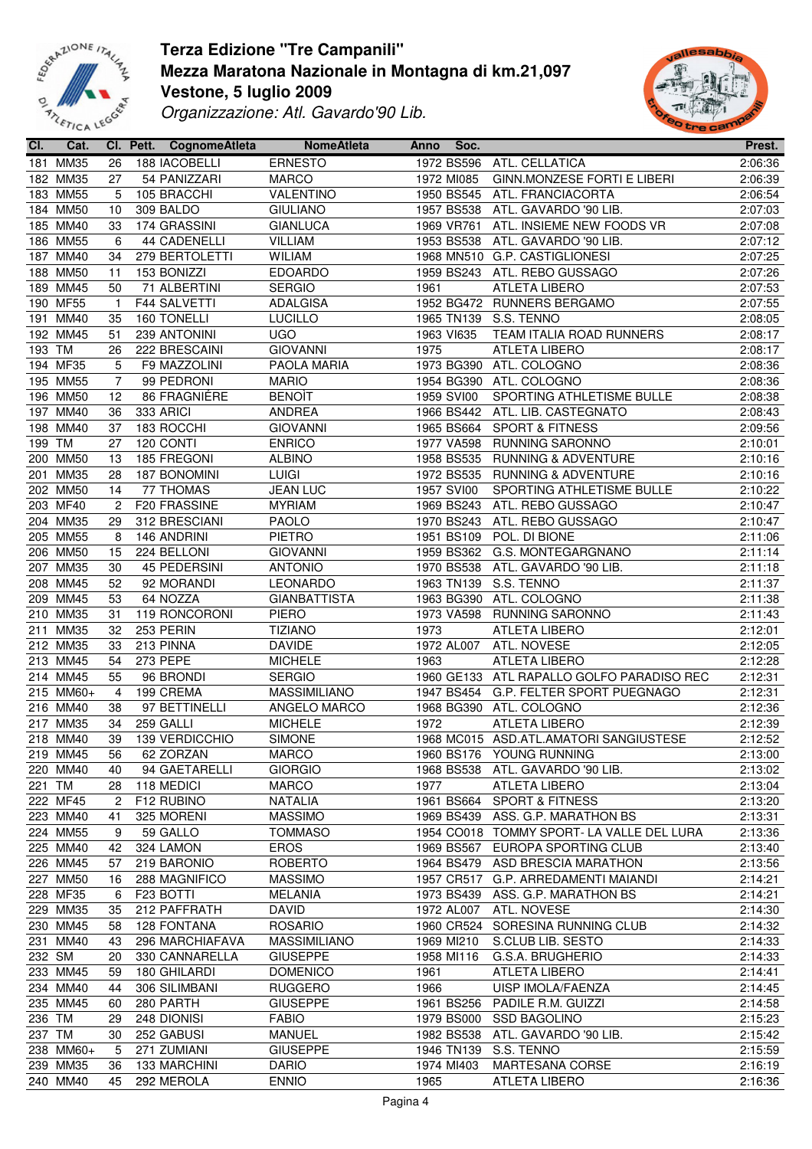



| CI.    | Cat.        |                | Cl. Pett. CognomeAtleta | <b>NomeAtleta</b>   | Anno | Soc.       |                                           | Prest.  |
|--------|-------------|----------------|-------------------------|---------------------|------|------------|-------------------------------------------|---------|
|        | 181 MM35    | 26             | 188 IACOBELLI           | <b>ERNESTO</b>      |      | 1972 BS596 | ATL. CELLATICA                            | 2:06:36 |
|        | 182 MM35    | 27             | 54 PANIZZARI            | <b>MARCO</b>        |      | 1972 MI085 | GINN.MONZESE FORTI E LIBERI               | 2:06:39 |
|        | 183 MM55    | 5              | 105 BRACCHI             | VALENTINO           |      | 1950 BS545 | ATL. FRANCIACORTA                         | 2:06:54 |
|        | 184 MM50    | 10             | 309 BALDO               | <b>GIULIANO</b>     |      | 1957 BS538 | ATL. GAVARDO '90 LIB.                     | 2:07:03 |
|        | 185 MM40    | 33             | 174 GRASSINI            | <b>GIANLUCA</b>     |      | 1969 VR761 | ATL. INSIEME NEW FOODS VR                 | 2:07:08 |
|        | 186 MM55    | 6              | 44 CADENELLI            | <b>VILLIAM</b>      |      | 1953 BS538 | ATL. GAVARDO '90 LIB.                     | 2:07:12 |
|        |             |                |                         |                     |      |            |                                           |         |
|        | 187 MM40    | 34             | 279 BERTOLETTI          | <b>WILIAM</b>       |      |            | 1968 MN510 G.P. CASTIGLIONESI             | 2:07:25 |
|        | 188 MM50    | 11             | 153 BONIZZI             | <b>EDOARDO</b>      |      | 1959 BS243 | ATL. REBO GUSSAGO                         | 2:07:26 |
|        | 189 MM45    | 50             | 71 ALBERTINI            | <b>SERGIO</b>       | 1961 |            | <b>ATLETA LIBERO</b>                      | 2:07:53 |
|        | 190 MF55    | $\mathbf{1}$   | <b>F44 SALVETTI</b>     | <b>ADALGISA</b>     |      |            | 1952 BG472 RUNNERS BERGAMO                | 2:07:55 |
| 191    | <b>MM40</b> | 35             | 160 TONELLI             | <b>LUCILLO</b>      |      |            | 1965 TN139 S.S. TENNO                     | 2:08:05 |
|        | 192 MM45    | 51             | 239 ANTONINI            | <b>UGO</b>          |      | 1963 VI635 | TEAM ITALIA ROAD RUNNERS                  | 2:08:17 |
| 193    | TM          | 26             | 222 BRESCAINI           | <b>GIOVANNI</b>     | 1975 |            | <b>ATLETA LIBERO</b>                      | 2:08:17 |
|        | 194 MF35    | 5              | F9 MAZZOLINI            | PAOLA MARIA         |      | 1973 BG390 | ATL. COLOGNO                              | 2:08:36 |
|        | 195 MM55    | 7              | 99 PEDRONI              | <b>MARIO</b>        |      |            | 1954 BG390 ATL. COLOGNO                   | 2:08:36 |
|        | 196 MM50    | 12             | 86 FRAGNIÉRE            | <b>BENOIT</b>       |      | 1959 SVI00 | SPORTING ATHLETISME BULLE                 | 2:08:38 |
|        | 197 MM40    | 36             | 333 ARICI               | <b>ANDREA</b>       |      |            | 1966 BS442 ATL. LIB. CASTEGNATO           | 2:08:43 |
|        | 198 MM40    | 37             | 183 ROCCHI              | <b>GIOVANNI</b>     |      |            | 1965 BS664 SPORT & FITNESS                | 2:09:56 |
| 199 TM |             | 27             | 120 CONTI               | <b>ENRICO</b>       |      |            | 1977 VA598 RUNNING SARONNO                | 2:10:01 |
|        |             |                |                         |                     |      |            |                                           |         |
|        | 200 MM50    | 13             | 185 FREGONI             | <b>ALBINO</b>       |      |            | 1958 BS535 RUNNING & ADVENTURE            | 2:10:16 |
| 201    | <b>MM35</b> | 28             | <b>187 BONOMINI</b>     | <b>LUIGI</b>        |      | 1972 BS535 | <b>RUNNING &amp; ADVENTURE</b>            | 2:10:16 |
|        | 202 MM50    | 14             | 77 THOMAS               | <b>JEAN LUC</b>     |      | 1957 SVI00 | SPORTING ATHLETISME BULLE                 | 2:10:22 |
|        | 203 MF40    | $\overline{c}$ | F20 FRASSINE            | <b>MYRIAM</b>       |      | 1969 BS243 | ATL. REBO GUSSAGO                         | 2:10:47 |
|        | 204 MM35    | 29             | 312 BRESCIANI           | <b>PAOLO</b>        |      | 1970 BS243 | ATL. REBO GUSSAGO                         | 2:10:47 |
|        | 205 MM55    | 8              | 146 ANDRINI             | <b>PIETRO</b>       |      | 1951 BS109 | POL. DI BIONE                             | 2:11:06 |
|        | 206 MM50    | 15             | 224 BELLONI             | <b>GIOVANNI</b>     |      | 1959 BS362 | G.S. MONTEGARGNANO                        | 2:11:14 |
|        | 207 MM35    | 30             | 45 PEDERSINI            | <b>ANTONIO</b>      |      | 1970 BS538 | ATL. GAVARDO '90 LIB.                     | 2:11:18 |
|        | 208 MM45    | 52             | 92 MORANDI              | LEONARDO            |      | 1963 TN139 | S.S. TENNO                                | 2:11:37 |
|        | 209 MM45    | 53             | 64 NOZZA                | <b>GIANBATTISTA</b> |      |            | 1963 BG390 ATL. COLOGNO                   | 2:11:38 |
|        | 210 MM35    | 31             | 119 RONCORONI           | PIERO               |      |            | 1973 VA598 RUNNING SARONNO                | 2:11:43 |
| 211    | <b>MM35</b> | 32             | 253 PERIN               | <b>TIZIANO</b>      | 1973 |            | <b>ATLETA LIBERO</b>                      | 2:12:01 |
|        | 212 MM35    | 33             | 213 PINNA               | <b>DAVIDE</b>       |      | 1972 AL007 | ATL. NOVESE                               | 2:12:05 |
|        |             | 54             |                         |                     |      |            |                                           |         |
|        | 213 MM45    |                | <b>273 PEPE</b>         | <b>MICHELE</b>      | 1963 |            | <b>ATLETA LIBERO</b>                      | 2:12:28 |
|        | 214 MM45    | 55             | 96 BRONDI               | <b>SERGIO</b>       |      |            | 1960 GE133 ATL RAPALLO GOLFO PARADISO REC | 2:12:31 |
|        | 215 MM60+   | 4              | 199 CREMA               | <b>MASSIMILIANO</b> |      |            | 1947 BS454 G.P. FELTER SPORT PUEGNAGO     | 2:12:31 |
|        | 216 MM40    | 38             | 97 BETTINELLI           | ANGELO MARCO        |      |            | 1968 BG390 ATL. COLOGNO                   | 2:12:36 |
|        | 217 MM35    | 34             | 259 GALLI               | <b>MICHELE</b>      | 1972 |            | <b>ATLETA LIBERO</b>                      | 2:12:39 |
|        | 218 MM40    | 39             | 139 VERDICCHIO          | <b>SIMONE</b>       |      |            | 1968 MC015 ASD.ATL.AMATORI SANGIUSTESE    | 2:12:52 |
|        | 219 MM45    |                | 56 62 ZORZAN            | <b>MARCO</b>        |      |            | 1960 BS176 YOUNG RUNNING                  | 2:13:00 |
|        | 220 MM40    | 40             | 94 GAETARELLI           | <b>GIORGIO</b>      |      |            | 1968 BS538 ATL. GAVARDO '90 LIB.          | 2:13:02 |
| 221 TM |             | 28             | 118 MEDICI              | <b>MARCO</b>        | 1977 |            | ATLETA LIBERO                             | 2:13:04 |
|        | 222 MF45    | 2              | F12 RUBINO              | <b>NATALIA</b>      |      | 1961 BS664 | <b>SPORT &amp; FITNESS</b>                | 2:13:20 |
|        | 223 MM40    | 41             | 325 MORENI              | <b>MASSIMO</b>      |      | 1969 BS439 | ASS. G.P. MARATHON BS                     | 2:13:31 |
|        | 224 MM55    | 9              | 59 GALLO                | <b>TOMMASO</b>      |      |            | 1954 CO018 TOMMY SPORT- LA VALLE DEL LURA | 2:13:36 |
|        | 225 MM40    | 42             | 324 LAMON               | <b>EROS</b>         |      |            | 1969 BS567 EUROPA SPORTING CLUB           | 2:13:40 |
|        | 226 MM45    |                | 219 BARONIO             |                     |      |            |                                           |         |
|        |             | 57             |                         | ROBERTO             |      |            | 1964 BS479 ASD BRESCIA MARATHON           | 2:13:56 |
|        | 227 MM50    | 16             | 288 MAGNIFICO           | <b>MASSIMO</b>      |      |            | 1957 CR517 G.P. ARREDAMENTI MAIANDI       | 2:14:21 |
|        | 228 MF35    | 6              | F <sub>23</sub> BOTTI   | <b>MELANIA</b>      |      |            | 1973 BS439 ASS. G.P. MARATHON BS          | 2:14:21 |
|        | 229 MM35    | 35             | 212 PAFFRATH            | <b>DAVID</b>        |      | 1972 AL007 | ATL. NOVESE                               | 2:14:30 |
|        | 230 MM45    | 58             | 128 FONTANA             | <b>ROSARIO</b>      |      |            | 1960 CR524 SORESINA RUNNING CLUB          | 2:14:32 |
|        | 231 MM40    | 43             | 296 MARCHIAFAVA         | <b>MASSIMILIANO</b> |      | 1969 MI210 | S.CLUB LIB. SESTO                         | 2:14:33 |
| 232 SM |             | 20             | 330 CANNARELLA          | <b>GIUSEPPE</b>     |      | 1958 MI116 | G.S.A. BRUGHERIO                          | 2:14:33 |
|        | 233 MM45    | 59             | 180 GHILARDI            | <b>DOMENICO</b>     | 1961 |            | ATLETA LIBERO                             | 2:14:41 |
|        | 234 MM40    | 44             | 306 SILIMBANI           | <b>RUGGERO</b>      | 1966 |            | UISP IMOLA/FAENZA                         | 2:14:45 |
|        | 235 MM45    | 60             | 280 PARTH               | <b>GIUSEPPE</b>     |      | 1961 BS256 | PADILE R.M. GUIZZI                        | 2:14:58 |
| 236 TM |             | 29             | 248 DIONISI             | <b>FABIO</b>        |      | 1979 BS000 | <b>SSD BAGOLINO</b>                       | 2:15:23 |
| 237 TM |             | 30             | 252 GABUSI              | <b>MANUEL</b>       |      | 1982 BS538 | ATL. GAVARDO '90 LIB.                     | 2:15:42 |
|        | 238 MM60+   | 5              | 271 ZUMIANI             | <b>GIUSEPPE</b>     |      | 1946 TN139 | S.S. TENNO                                | 2:15:59 |
|        |             |                |                         |                     |      |            |                                           |         |
|        | 239 MM35    | 36             | 133 MARCHINI            | <b>DARIO</b>        |      | 1974 MI403 | MARTESANA CORSE                           | 2:16:19 |
|        | 240 MM40    | 45             | 292 MEROLA              | <b>ENNIO</b>        | 1965 |            | <b>ATLETA LIBERO</b>                      | 2:16:36 |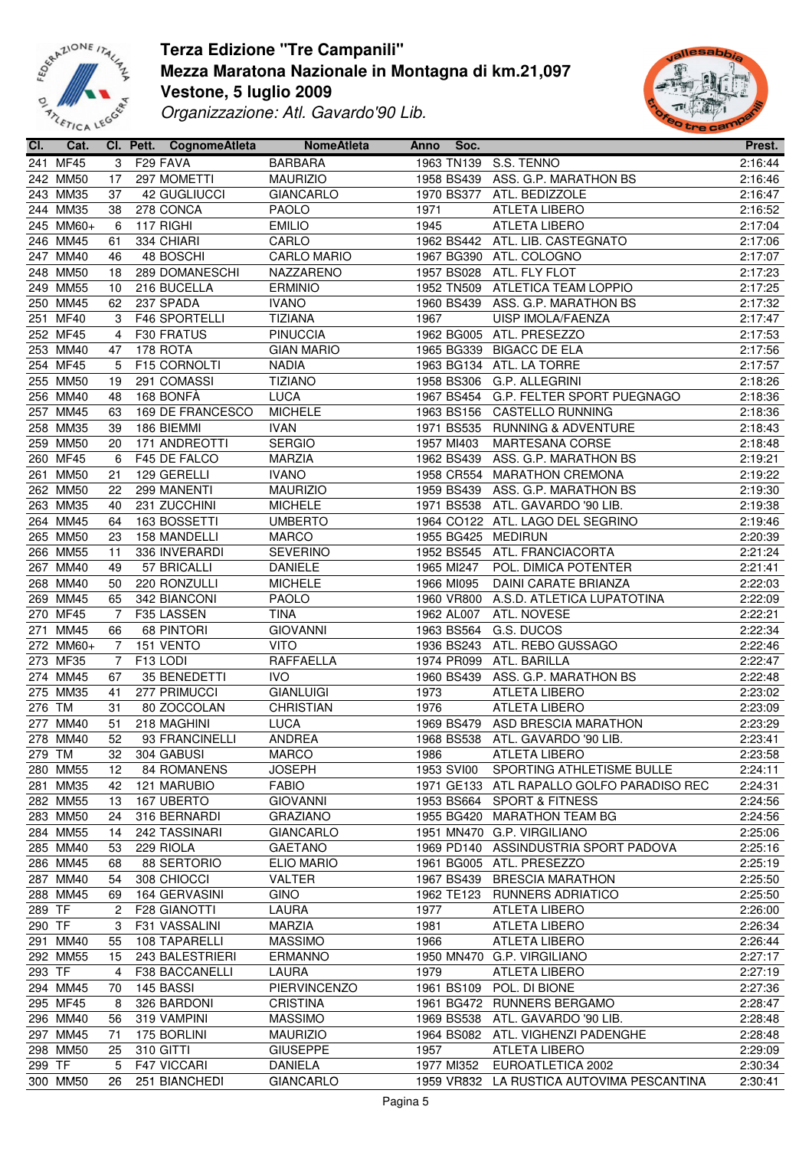



| CI.    | Cat.      |                | Cl. Pett. CognomeAtleta | <b>NomeAtleta</b>  | Anno | Soc.       |                                           | Prest.  |
|--------|-----------|----------------|-------------------------|--------------------|------|------------|-------------------------------------------|---------|
|        | 241 MF45  | 3              | F29 FAVA                | <b>BARBARA</b>     |      |            | 1963 TN139 S.S. TENNO                     | 2:16:44 |
|        | 242 MM50  | 17             | 297 MOMETTI             | <b>MAURIZIO</b>    |      | 1958 BS439 | ASS. G.P. MARATHON BS                     | 2:16:46 |
|        | 243 MM35  | 37             | <b>42 GUGLIUCCI</b>     | <b>GIANCARLO</b>   |      | 1970 BS377 | ATL. BEDIZZOLE                            | 2:16:47 |
|        | 244 MM35  | 38             | 278 CONCA               | <b>PAOLO</b>       | 1971 |            | ATLETA LIBERO                             | 2:16:52 |
|        | 245 MM60+ | 6              | 117 RIGHI               | <b>EMILIO</b>      | 1945 |            | <b>ATLETA LIBERO</b>                      | 2:17:04 |
|        | 246 MM45  | 61             | 334 CHIARI              | CARLO              |      | 1962 BS442 | ATL. LIB. CASTEGNATO                      | 2:17:06 |
|        | 247 MM40  | 46             |                         |                    |      |            | 1967 BG390 ATL. COLOGNO                   | 2:17:07 |
|        |           |                | 48 BOSCHI               | <b>CARLO MARIO</b> |      |            |                                           |         |
|        | 248 MM50  | 18             | 289 DOMANESCHI          | NAZZARENO          |      | 1957 BS028 | ATL. FLY FLOT                             | 2:17:23 |
|        | 249 MM55  | 10             | 216 BUCELLA             | <b>ERMINIO</b>     |      |            | 1952 TN509 ATLETICA TEAM LOPPIO           | 2:17:25 |
|        | 250 MM45  | 62             | 237 SPADA               | <b>IVANO</b>       |      |            | 1960 BS439 ASS. G.P. MARATHON BS          | 2:17:32 |
|        | 251 MF40  | 3              | F46 SPORTELLI           | <b>TIZIANA</b>     | 1967 |            | <b>UISP IMOLA/FAENZA</b>                  | 2:17:47 |
|        | 252 MF45  | $\overline{4}$ | F30 FRATUS              | <b>PINUCCIA</b>    |      | 1962 BG005 | ATL. PRESEZZO                             | 2:17:53 |
|        | 253 MM40  | 47             | 178 ROTA                | <b>GIAN MARIO</b>  |      | 1965 BG339 | <b>BIGACC DE ELA</b>                      | 2:17:56 |
|        | 254 MF45  | 5              | F15 CORNOLTI            | <b>NADIA</b>       |      |            | 1963 BG134 ATL. LA TORRE                  | 2:17:57 |
|        | 255 MM50  | 19             | 291 COMASSI             | <b>TIZIANO</b>     |      |            | 1958 BS306 G.P. ALLEGRINI                 | 2:18:26 |
|        | 256 MM40  | 48             | 168 BONFÀ               | <b>LUCA</b>        |      |            | 1967 BS454 G.P. FELTER SPORT PUEGNAGO     | 2:18:36 |
|        | 257 MM45  | 63             | 169 DE FRANCESCO        | <b>MICHELE</b>     |      |            | 1963 BS156 CASTELLO RUNNING               | 2:18:36 |
|        | 258 MM35  | 39             | 186 BIEMMI              | <b>IVAN</b>        |      |            | 1971 BS535 RUNNING & ADVENTURE            | 2:18:43 |
|        | 259 MM50  | 20             | 171 ANDREOTTI           | <b>SERGIO</b>      |      | 1957 MI403 | MARTESANA CORSE                           | 2:18:48 |
|        | 260 MF45  | 6              | F45 DE FALCO            | <b>MARZIA</b>      |      |            | 1962 BS439 ASS. G.P. MARATHON BS          | 2:19:21 |
|        | 261 MM50  | 21             | 129 GERELLI             | <b>IVANO</b>       |      |            | 1958 CR554 MARATHON CREMONA               | 2:19:22 |
|        | 262 MM50  | 22             | 299 MANENTI             | <b>MAURIZIO</b>    |      | 1959 BS439 | ASS. G.P. MARATHON BS                     | 2:19:30 |
|        | 263 MM35  | 40             | 231 ZUCCHINI            | <b>MICHELE</b>     |      | 1971 BS538 | ATL. GAVARDO '90 LIB.                     | 2:19:38 |
|        | 264 MM45  | 64             | 163 BOSSETTI            | <b>UMBERTO</b>     |      |            | 1964 CO122 ATL. LAGO DEL SEGRINO          | 2:19:46 |
|        | 265 MM50  | 23             | 158 MANDELLI            | <b>MARCO</b>       |      | 1955 BG425 | <b>MEDIRUN</b>                            | 2:20:39 |
|        | 266 MM55  | 11             | 336 INVERARDI           | <b>SEVERINO</b>    |      |            | 1952 BS545 ATL. FRANCIACORTA              | 2:21:24 |
|        |           |                |                         |                    |      |            |                                           |         |
|        | 267 MM40  | 49             | 57 BRICALLI             | <b>DANIELE</b>     |      | 1965 MI247 | POL. DIMICA POTENTER                      | 2:21:41 |
|        | 268 MM40  | 50             | 220 RONZULLI            | <b>MICHELE</b>     |      | 1966 MI095 | DAINI CARATE BRIANZA                      | 2:22:03 |
|        | 269 MM45  | 65             | 342 BIANCONI            | <b>PAOLO</b>       |      |            | 1960 VR800 A.S.D. ATLETICA LUPATOTINA     | 2:22:09 |
|        | 270 MF45  | 7              | F35 LASSEN              | <b>TINA</b>        |      | 1962 AL007 | ATL. NOVESE                               | 2:22:21 |
|        | 271 MM45  | 66             | 68 PINTORI              | <b>GIOVANNI</b>    |      | 1963 BS564 | G.S. DUCOS                                | 2:22:34 |
|        | 272 MM60+ | $\overline{7}$ | 151 VENTO               | <b>VITO</b>        |      | 1936 BS243 | ATL. REBO GUSSAGO                         | 2:22:46 |
|        | 273 MF35  | $\overline{7}$ | F <sub>13</sub> LODI    | RAFFAELLA          |      | 1974 PR099 | ATL. BARILLA                              | 2:22:47 |
|        | 274 MM45  | 67             | 35 BENEDETTI            | <b>IVO</b>         |      | 1960 BS439 | ASS. G.P. MARATHON BS                     | 2:22:48 |
|        | 275 MM35  | 41             | 277 PRIMUCCI            | <b>GIANLUIGI</b>   | 1973 |            | <b>ATLETA LIBERO</b>                      | 2:23:02 |
| 276 TM |           | 31             | 80 ZOCCOLAN             | <b>CHRISTIAN</b>   | 1976 |            | ATLETA LIBERO                             | 2:23:09 |
|        | 277 MM40  | 51             | 218 MAGHINI             | <b>LUCA</b>        |      |            | 1969 BS479 ASD BRESCIA MARATHON           | 2:23:29 |
|        | 278 MM40  | 52             | 93 FRANCINELLI          | <b>ANDREA</b>      |      |            | 1968 BS538 ATL. GAVARDO '90 LIB.          | 2:23:41 |
| 279 TM |           |                | 32 304 GABUSI           | <b>MARCO</b>       |      |            | 1986 ATLETA LIBERO                        | 2:23:58 |
|        | 280 MM55  | 12             | 84 ROMANENS             | <b>JOSEPH</b>      |      | 1953 SVI00 | SPORTING ATHLETISME BULLE                 | 2:24:11 |
|        | 281 MM35  | 42             | 121 MARUBIO             | FABIO              |      |            | 1971 GE133 ATL RAPALLO GOLFO PARADISO REC | 2:24:31 |
|        | 282 MM55  | 13             | 167 UBERTO              | <b>GIOVANNI</b>    |      |            | 1953 BS664 SPORT & FITNESS                | 2:24:56 |
|        | 283 MM50  | 24             | 316 BERNARDI            | <b>GRAZIANO</b>    |      | 1955 BG420 | <b>MARATHON TEAM BG</b>                   | 2:24:56 |
|        | 284 MM55  | 14             | 242 TASSINARI           | <b>GIANCARLO</b>   |      |            | 1951 MN470 G.P. VIRGILIANO                | 2:25:06 |
|        | 285 MM40  | 53             | 229 RIOLA               | <b>GAETANO</b>     |      |            | 1969 PD140 ASSINDUSTRIA SPORT PADOVA      | 2:25:16 |
|        | 286 MM45  | 68             | 88 SERTORIO             | <b>ELIO MARIO</b>  |      |            | 1961 BG005 ATL. PRESEZZO                  | 2:25:19 |
|        | 287 MM40  |                |                         |                    |      |            |                                           |         |
|        |           | 54             | 308 CHIOCCI             | VALTER             |      | 1967 BS439 | <b>BRESCIA MARATHON</b>                   | 2:25:50 |
|        | 288 MM45  | 69             | 164 GERVASINI           | <b>GINO</b>        |      | 1962 TE123 | RUNNERS ADRIATICO                         | 2:25:50 |
| 289 TF |           | $\mathbf{2}$   | F28 GIANOTTI            | LAURA              | 1977 |            | <b>ATLETA LIBERO</b>                      | 2:26:00 |
| 290 TF |           | 3              | F31 VASSALINI           | MARZIA             | 1981 |            | ATLETA LIBERO                             | 2:26:34 |
|        | 291 MM40  | 55             | 108 TAPARELLI           | <b>MASSIMO</b>     | 1966 |            | ATLETA LIBERO                             | 2:26:44 |
|        | 292 MM55  | 15             | 243 BALESTRIERI         | <b>ERMANNO</b>     |      | 1950 MN470 | G.P. VIRGILIANO                           | 2:27:17 |
| 293 TF |           | 4              | F38 BACCANELLI          | LAURA              | 1979 |            | ATLETA LIBERO                             | 2:27:19 |
|        | 294 MM45  | 70             | 145 BASSI               | PIERVINCENZO       |      | 1961 BS109 | POL. DI BIONE                             | 2:27:36 |
|        | 295 MF45  | 8              | 326 BARDONI             | <b>CRISTINA</b>    |      |            | 1961 BG472 RUNNERS BERGAMO                | 2:28:47 |
|        | 296 MM40  | 56             | 319 VAMPINI             | <b>MASSIMO</b>     |      | 1969 BS538 | ATL. GAVARDO '90 LIB.                     | 2:28:48 |
|        | 297 MM45  | 71             | 175 BORLINI             | <b>MAURIZIO</b>    |      | 1964 BS082 | ATL. VIGHENZI PADENGHE                    | 2:28:48 |
|        | 298 MM50  | 25             | 310 GITTI               | <b>GIUSEPPE</b>    | 1957 |            | <b>ATLETA LIBERO</b>                      | 2:29:09 |
| 299 TF |           | 5              | <b>F47 VICCARI</b>      | DANIELA            |      | 1977 MI352 | EUROATLETICA 2002                         | 2:30:34 |
|        | 300 MM50  | 26             | 251 BIANCHEDI           | <b>GIANCARLO</b>   |      |            | 1959 VR832 LA RUSTICA AUTOVIMA PESCANTINA | 2:30:41 |